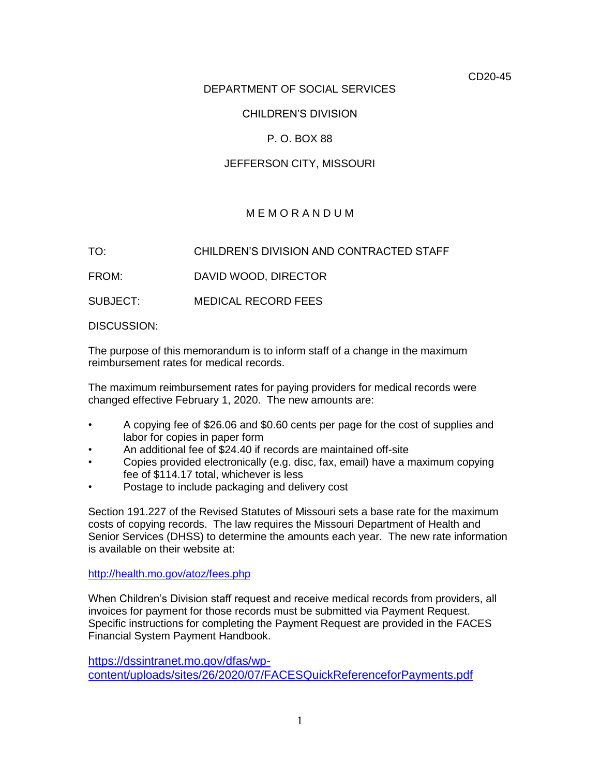CD20-45

## DEPARTMENT OF SOCIAL SERVICES

## CHILDREN'S DIVISION

## P. O. BOX 88

## JEFFERSON CITY, MISSOURI

## M E M O R A N D U M

TO: CHILDREN'S DIVISION AND CONTRACTED STAFF

FROM: DAVID WOOD, DIRECTOR

SUBJECT: MEDICAL RECORD FEES

DISCUSSION:

 The purpose of this memorandum is to inform staff of a change in the maximum reimbursement rates for medical records.

 The maximum reimbursement rates for paying providers for medical records were changed effective February 1, 2020. The new amounts are:

- • A copying fee of \$26.06 and \$0.60 cents per page for the cost of supplies and labor for copies in paper form
- An additional fee of \$24.40 if records are maintained off-site
- • Copies provided electronically (e.g. disc, fax, email) have a maximum copying fee of \$114.17 total, whichever is less
- Postage to include packaging and delivery cost

 Section 191.227 of the Revised Statutes of Missouri sets a base rate for the maximum costs of copying records. The law requires the Missouri Department of Health and Senior Services (DHSS) to determine the amounts each year. The new rate information is available on their website at:

<http://health.mo.gov/atoz/fees.php>

 When Children's Division staff request and receive medical records from providers, all invoices for payment for those records must be submitted via Payment Request. Specific instructions for completing the Payment Request are provided in the FACES Financial System Payment Handbook.

[https://dssintranet.mo.gov/dfas/wp](https://dssintranet.mo.gov/dfas/wp-content/uploads/sites/26/2020/07/FACESQuickReferenceforPayments.pdf)[content/uploads/sites/26/2020/07/FACESQuickReferenceforPayments.pdf](https://dssintranet.mo.gov/dfas/wp-content/uploads/sites/26/2020/07/FACESQuickReferenceforPayments.pdf)